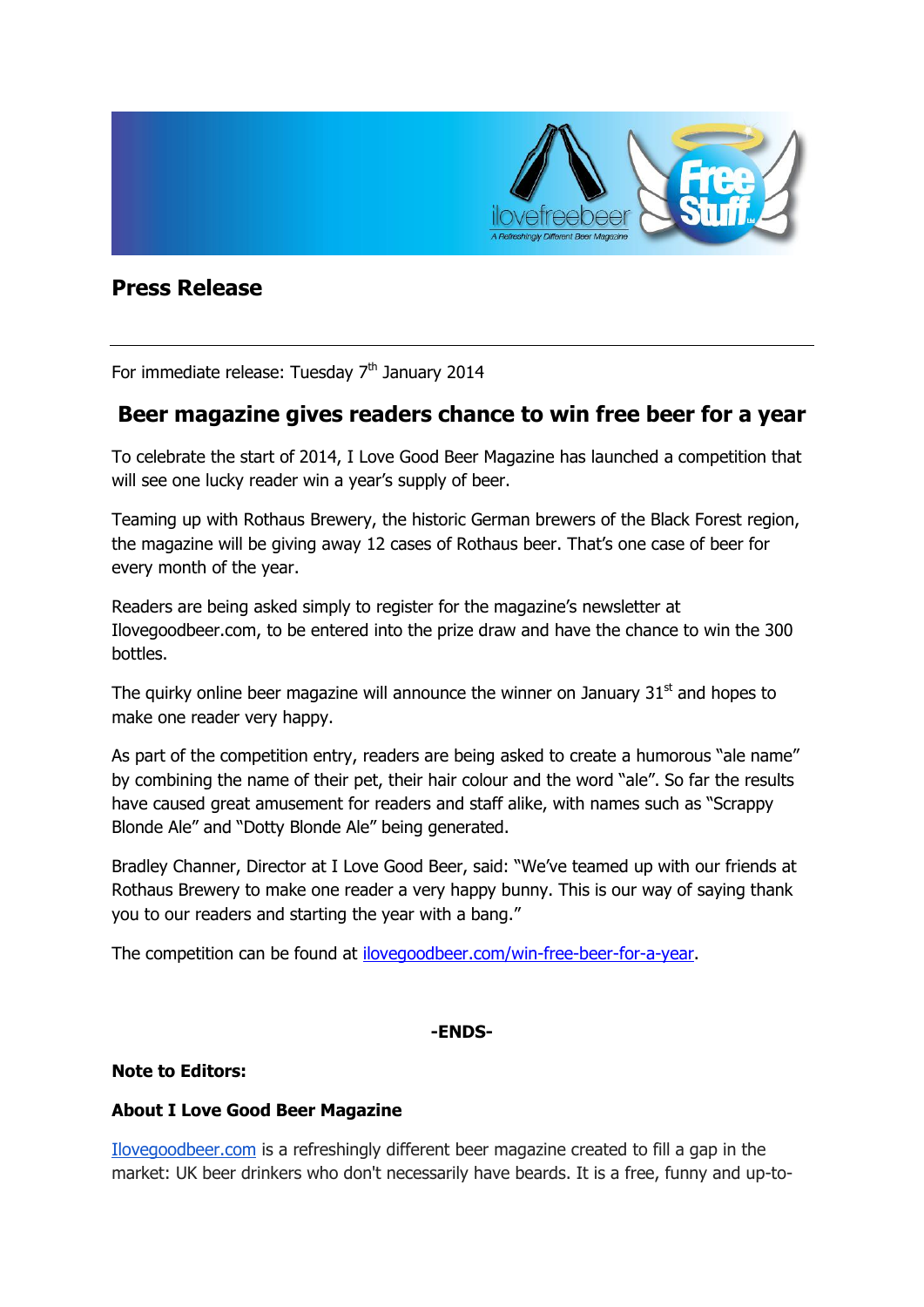

# **Press Release**

For immediate release: Tuesday 7<sup>th</sup> January 2014

## **Beer magazine gives readers chance to win free beer for a year**

To celebrate the start of 2014, I Love Good Beer Magazine has launched a competition that will see one lucky reader win a year's supply of beer.

Teaming up with Rothaus Brewery, the historic German brewers of the Black Forest region, the magazine will be giving away 12 cases of Rothaus beer. That's one case of beer for every month of the year.

Readers are being asked simply to register for the magazine's newsletter at Ilovegoodbeer.com, to be entered into the prize draw and have the chance to win the 300 bottles.

The quirky online beer magazine will announce the winner on January  $31<sup>st</sup>$  and hopes to make one reader very happy.

As part of the competition entry, readers are being asked to create a humorous "ale name" by combining the name of their pet, their hair colour and the word "ale". So far the results have caused great amusement for readers and staff alike, with names such as "Scrappy Blonde Ale" and "Dotty Blonde Ale" being generated.

Bradley Channer, Director at I Love Good Beer, said: "We've teamed up with our friends at Rothaus Brewery to make one reader a very happy bunny. This is our way of saying thank you to our readers and starting the year with a bang."

The competition can be found at [ilovegoodbeer.com/win-free-beer-for-a-year.](http://www.ilovegoodbeer.com/win-free-beer-for-a-year)

### **-ENDS-**

### **Note to Editors:**

### **About I Love Good Beer Magazine**

[Ilovegoodbeer.com](http://ilovegoodbeer.com/) is a refreshingly different beer magazine created to fill a gap in the market: UK beer drinkers who don't necessarily have beards. It is a free, funny and up-to